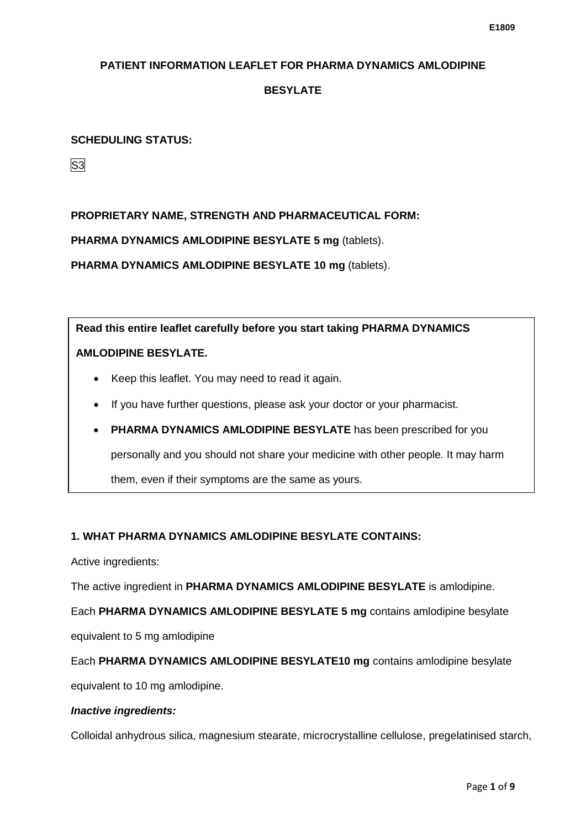# **BESYLATE**

## **SCHEDULING STATUS:**

S3

# **PROPRIETARY NAME, STRENGTH AND PHARMACEUTICAL FORM:**

**PHARMA DYNAMICS AMLODIPINE BESYLATE 5 mg** (tablets).

**PHARMA DYNAMICS AMLODIPINE BESYLATE 10 mg** (tablets).

**Read this entire leaflet carefully before you start taking PHARMA DYNAMICS AMLODIPINE BESYLATE.**

- Keep this leaflet. You may need to read it again.
- If you have further questions, please ask your doctor or your pharmacist.
- **PHARMA DYNAMICS AMLODIPINE BESYLATE** has been prescribed for you personally and you should not share your medicine with other people. It may harm them, even if their symptoms are the same as yours.

#### **1. WHAT PHARMA DYNAMICS AMLODIPINE BESYLATE CONTAINS:**

Active ingredients:

The active ingredient in **PHARMA DYNAMICS AMLODIPINE BESYLATE** is amlodipine.

Each **PHARMA DYNAMICS AMLODIPINE BESYLATE 5 mg** contains amlodipine besylate

equivalent to 5 mg amlodipine

Each **PHARMA DYNAMICS AMLODIPINE BESYLATE10 mg** contains amlodipine besylate

equivalent to 10 mg amlodipine.

#### *Inactive ingredients:*

Colloidal anhydrous silica, magnesium stearate, microcrystalline cellulose, pregelatinised starch,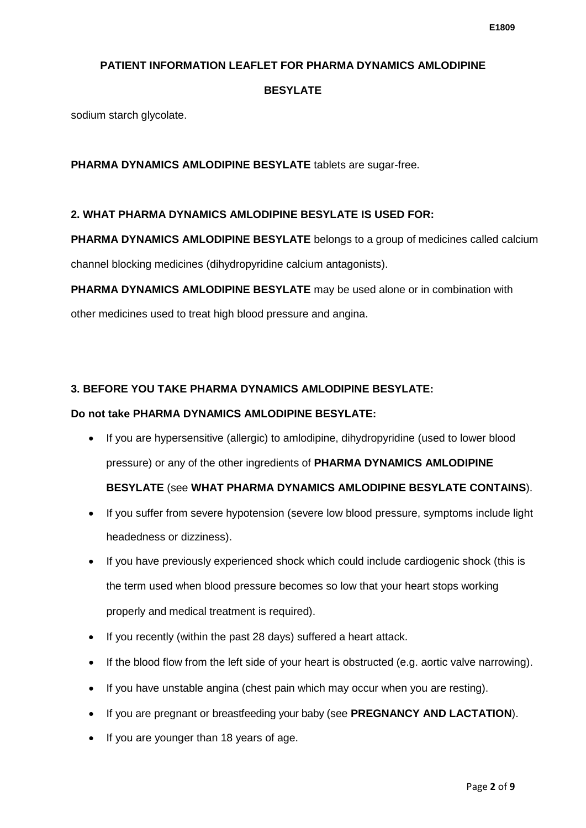# **BESYLATE**

sodium starch glycolate.

# **PHARMA DYNAMICS AMLODIPINE BESYLATE** tablets are sugar-free.

#### **2. WHAT PHARMA DYNAMICS AMLODIPINE BESYLATE IS USED FOR:**

**PHARMA DYNAMICS AMLODIPINE BESYLATE** belongs to a group of medicines called calcium

channel blocking medicines (dihydropyridine calcium antagonists).

**PHARMA DYNAMICS AMLODIPINE BESYLATE** may be used alone or in combination with

other medicines used to treat high blood pressure and angina.

# **3. BEFORE YOU TAKE PHARMA DYNAMICS AMLODIPINE BESYLATE:**

## **Do not take PHARMA DYNAMICS AMLODIPINE BESYLATE:**

• If you are hypersensitive (allergic) to amlodipine, dihydropyridine (used to lower blood pressure) or any of the other ingredients of **PHARMA DYNAMICS AMLODIPINE** 

# **BESYLATE** (see **WHAT PHARMA DYNAMICS AMLODIPINE BESYLATE CONTAINS**).

- If you suffer from severe hypotension (severe low blood pressure, symptoms include light headedness or dizziness).
- If you have previously experienced shock which could include cardiogenic shock (this is the term used when blood pressure becomes so low that your heart stops working properly and medical treatment is required).
- If you recently (within the past 28 days) suffered a heart attack.
- If the blood flow from the left side of your heart is obstructed (e.g. aortic valve narrowing).
- If you have unstable angina (chest pain which may occur when you are resting).
- If you are pregnant or breastfeeding your baby (see **PREGNANCY AND LACTATION**).
- If you are younger than 18 years of age.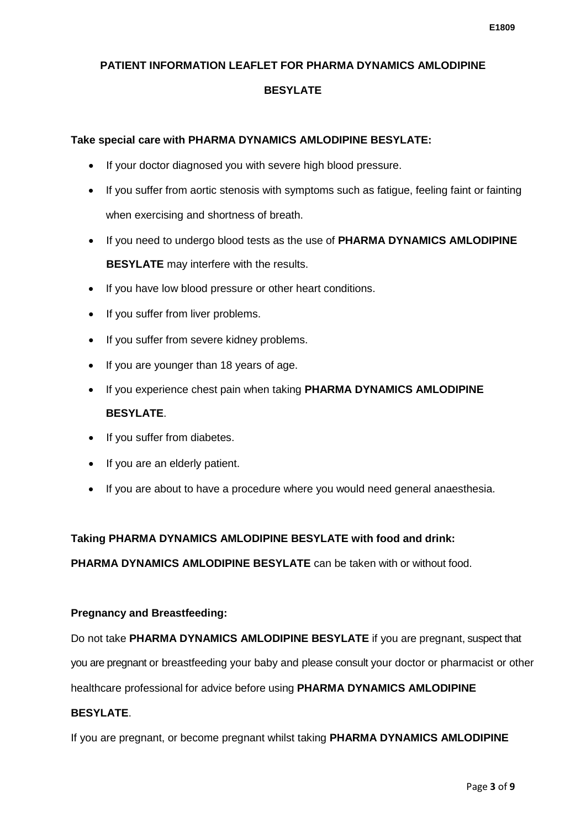# **BESYLATE**

# **Take special care with PHARMA DYNAMICS AMLODIPINE BESYLATE:**

- If your doctor diagnosed you with severe high blood pressure.
- If you suffer from aortic stenosis with symptoms such as fatigue, feeling faint or fainting when exercising and shortness of breath.
- If you need to undergo blood tests as the use of **PHARMA DYNAMICS AMLODIPINE BESYLATE** may interfere with the results.
- If you have low blood pressure or other heart conditions.
- If you suffer from liver problems.
- If you suffer from severe kidney problems.
- If you are younger than 18 years of age.
- If you experience chest pain when taking **PHARMA DYNAMICS AMLODIPINE BESYLATE**.
- If you suffer from diabetes.
- If you are an elderly patient.
- If you are about to have a procedure where you would need general anaesthesia.

# **Taking PHARMA DYNAMICS AMLODIPINE BESYLATE with food and drink:**

**PHARMA DYNAMICS AMLODIPINE BESYLATE** can be taken with or without food.

# **Pregnancy and Breastfeeding:**

Do not take **PHARMA DYNAMICS AMLODIPINE BESYLATE** if you are pregnant, suspect that you are pregnant or breastfeeding your baby and please consult your doctor or pharmacist or other

healthcare professional for advice before using **PHARMA DYNAMICS AMLODIPINE** 

# **BESYLATE**.

If you are pregnant, or become pregnant whilst taking **PHARMA DYNAMICS AMLODIPINE**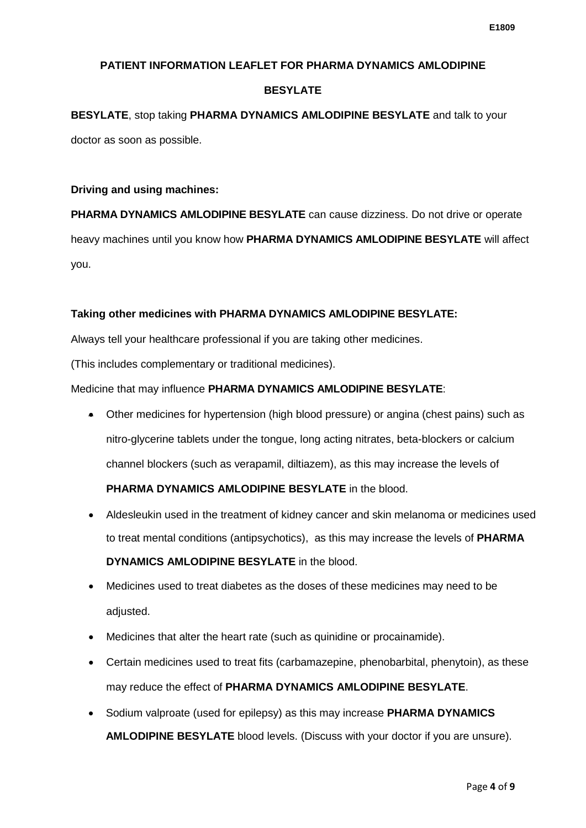# **BESYLATE**

**BESYLATE**, stop taking **PHARMA DYNAMICS AMLODIPINE BESYLATE** and talk to your doctor as soon as possible.

## **Driving and using machines:**

**PHARMA DYNAMICS AMLODIPINE BESYLATE** can cause dizziness. Do not drive or operate heavy machines until you know how **PHARMA DYNAMICS AMLODIPINE BESYLATE** will affect you.

#### **Taking other medicines with PHARMA DYNAMICS AMLODIPINE BESYLATE:**

Always tell your healthcare professional if you are taking other medicines.

(This includes complementary or traditional medicines).

#### Medicine that may influence **PHARMA DYNAMICS AMLODIPINE BESYLATE**:

• Other medicines for hypertension (high blood pressure) or angina (chest pains) such as nitro-glycerine tablets under the tongue, long acting nitrates, beta-blockers or calcium channel blockers (such as verapamil, diltiazem), as this may increase the levels of

# **PHARMA DYNAMICS AMLODIPINE BESYLATE** in the blood.

- Aldesleukin used in the treatment of kidney cancer and skin melanoma or medicines used to treat mental conditions (antipsychotics), as this may increase the levels of **PHARMA DYNAMICS AMLODIPINE BESYLATE** in the blood.
- Medicines used to treat diabetes as the doses of these medicines may need to be adjusted.
- Medicines that alter the heart rate (such as quinidine or procainamide).
- Certain medicines used to treat fits (carbamazepine, phenobarbital, phenytoin), as these may reduce the effect of **PHARMA DYNAMICS AMLODIPINE BESYLATE**.
- Sodium valproate (used for epilepsy) as this may increase **PHARMA DYNAMICS AMLODIPINE BESYLATE** blood levels. (Discuss with your doctor if you are unsure).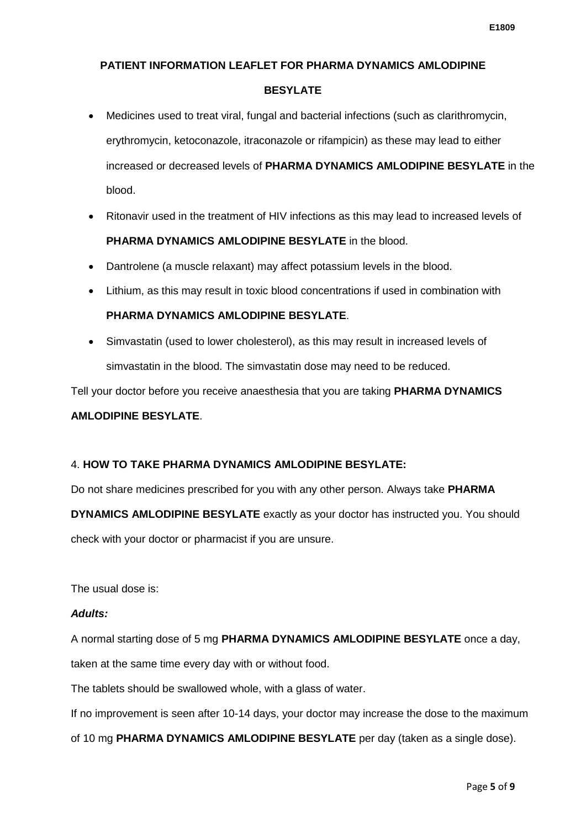## **BESYLATE**

- Medicines used to treat viral, fungal and bacterial infections (such as clarithromycin, erythromycin, ketoconazole, itraconazole or rifampicin) as these may lead to either increased or decreased levels of **PHARMA DYNAMICS AMLODIPINE BESYLATE** in the blood.
- Ritonavir used in the treatment of HIV infections as this may lead to increased levels of **PHARMA DYNAMICS AMLODIPINE BESYLATE** in the blood.
- Dantrolene (a muscle relaxant) may affect potassium levels in the blood.
- Lithium, as this may result in toxic blood concentrations if used in combination with

# **PHARMA DYNAMICS AMLODIPINE BESYLATE**.

• Simvastatin (used to lower cholesterol), as this may result in increased levels of simvastatin in the blood. The simvastatin dose may need to be reduced.

Tell your doctor before you receive anaesthesia that you are taking **PHARMA DYNAMICS** 

# **AMLODIPINE BESYLATE**.

# 4. **HOW TO TAKE PHARMA DYNAMICS AMLODIPINE BESYLATE:**

Do not share medicines prescribed for you with any other person. Always take **PHARMA** 

**DYNAMICS AMLODIPINE BESYLATE** exactly as your doctor has instructed you. You should check with your doctor or pharmacist if you are unsure.

The usual dose is:

#### *Adults:*

A normal starting dose of 5 mg **PHARMA DYNAMICS AMLODIPINE BESYLATE** once a day, taken at the same time every day with or without food.

The tablets should be swallowed whole, with a glass of water.

If no improvement is seen after 10-14 days, your doctor may increase the dose to the maximum

of 10 mg **PHARMA DYNAMICS AMLODIPINE BESYLATE** per day (taken as a single dose).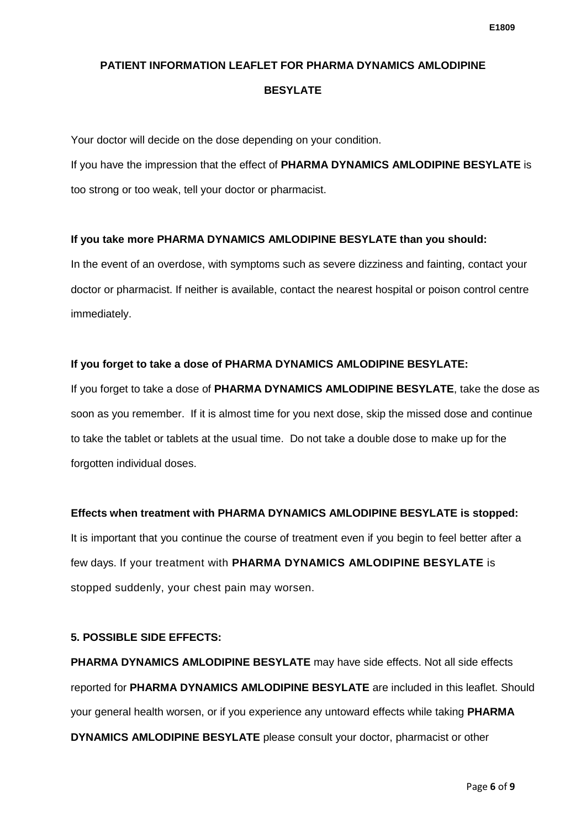#### **BESYLATE**

Your doctor will decide on the dose depending on your condition.

If you have the impression that the effect of **PHARMA DYNAMICS AMLODIPINE BESYLATE** is too strong or too weak, tell your doctor or pharmacist.

# **If you take more PHARMA DYNAMICS AMLODIPINE BESYLATE than you should:**

In the event of an overdose, with symptoms such as severe dizziness and fainting, contact your doctor or pharmacist. If neither is available, contact the nearest hospital or poison control centre immediately.

# **If you forget to take a dose of PHARMA DYNAMICS AMLODIPINE BESYLATE:**

If you forget to take a dose of **PHARMA DYNAMICS AMLODIPINE BESYLATE**, take the dose as soon as you remember. If it is almost time for you next dose, skip the missed dose and continue to take the tablet or tablets at the usual time. Do not take a double dose to make up for the forgotten individual doses.

# **Effects when treatment with PHARMA DYNAMICS AMLODIPINE BESYLATE is stopped:**

It is important that you continue the course of treatment even if you begin to feel better after a few days. If your treatment with **PHARMA DYNAMICS AMLODIPINE BESYLATE** is stopped suddenly, your chest pain may worsen.

# **5. POSSIBLE SIDE EFFECTS:**

**PHARMA DYNAMICS AMLODIPINE BESYLATE** may have side effects. Not all side effects reported for **PHARMA DYNAMICS AMLODIPINE BESYLATE** are included in this leaflet. Should your general health worsen, or if you experience any untoward effects while taking **PHARMA DYNAMICS AMLODIPINE BESYLATE** please consult your doctor, pharmacist or other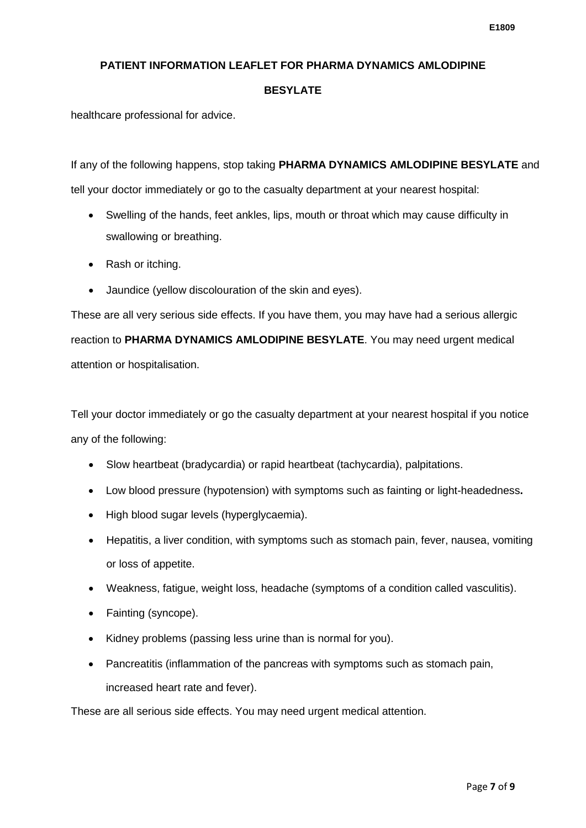# **BESYLATE**

healthcare professional for advice.

If any of the following happens, stop taking **PHARMA DYNAMICS AMLODIPINE BESYLATE** and tell your doctor immediately or go to the casualty department at your nearest hospital:

- Swelling of the hands, feet ankles, lips, mouth or throat which may cause difficulty in swallowing or breathing.
- Rash or itching.
- Jaundice (yellow discolouration of the skin and eyes).

These are all very serious side effects. If you have them, you may have had a serious allergic reaction to **PHARMA DYNAMICS AMLODIPINE BESYLATE**. You may need urgent medical attention or hospitalisation.

Tell your doctor immediately or go the casualty department at your nearest hospital if you notice any of the following:

- Slow heartbeat (bradycardia) or rapid heartbeat (tachycardia), palpitations.
- Low blood pressure (hypotension) with symptoms such as fainting or light-headedness**.**
- High blood sugar levels (hyperglycaemia).
- Hepatitis, a liver condition, with symptoms such as stomach pain, fever, nausea, vomiting or loss of appetite.
- Weakness, fatigue, weight loss, headache (symptoms of a condition called vasculitis).
- Fainting (syncope).
- Kidney problems (passing less urine than is normal for you).
- Pancreatitis (inflammation of the pancreas with symptoms such as stomach pain, increased heart rate and fever).

These are all serious side effects. You may need urgent medical attention.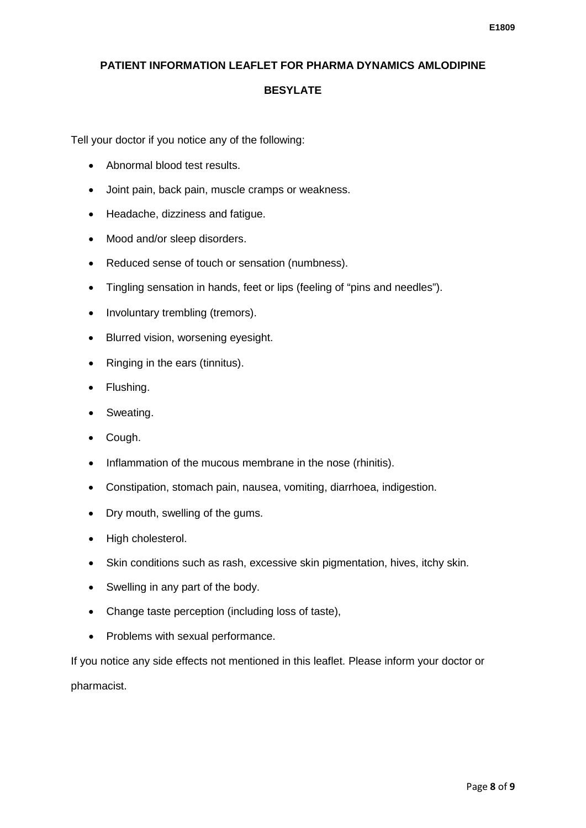#### **BESYLATE**

Tell your doctor if you notice any of the following:

- Abnormal blood test results.
- Joint pain, back pain, muscle cramps or weakness.
- Headache, dizziness and fatigue.
- Mood and/or sleep disorders.
- Reduced sense of touch or sensation (numbness).
- Tingling sensation in hands, feet or lips (feeling of "pins and needles").
- Involuntary trembling (tremors).
- Blurred vision, worsening eyesight.
- Ringing in the ears (tinnitus).
- Flushing.
- Sweating.
- Cough.
- Inflammation of the mucous membrane in the nose (rhinitis).
- Constipation, stomach pain, nausea, vomiting, diarrhoea, indigestion.
- Dry mouth, swelling of the gums.
- High cholesterol.
- Skin conditions such as rash, excessive skin pigmentation, hives, itchy skin.
- Swelling in any part of the body.
- Change taste perception (including loss of taste),
- Problems with sexual performance.

If you notice any side effects not mentioned in this leaflet. Please inform your doctor or pharmacist.